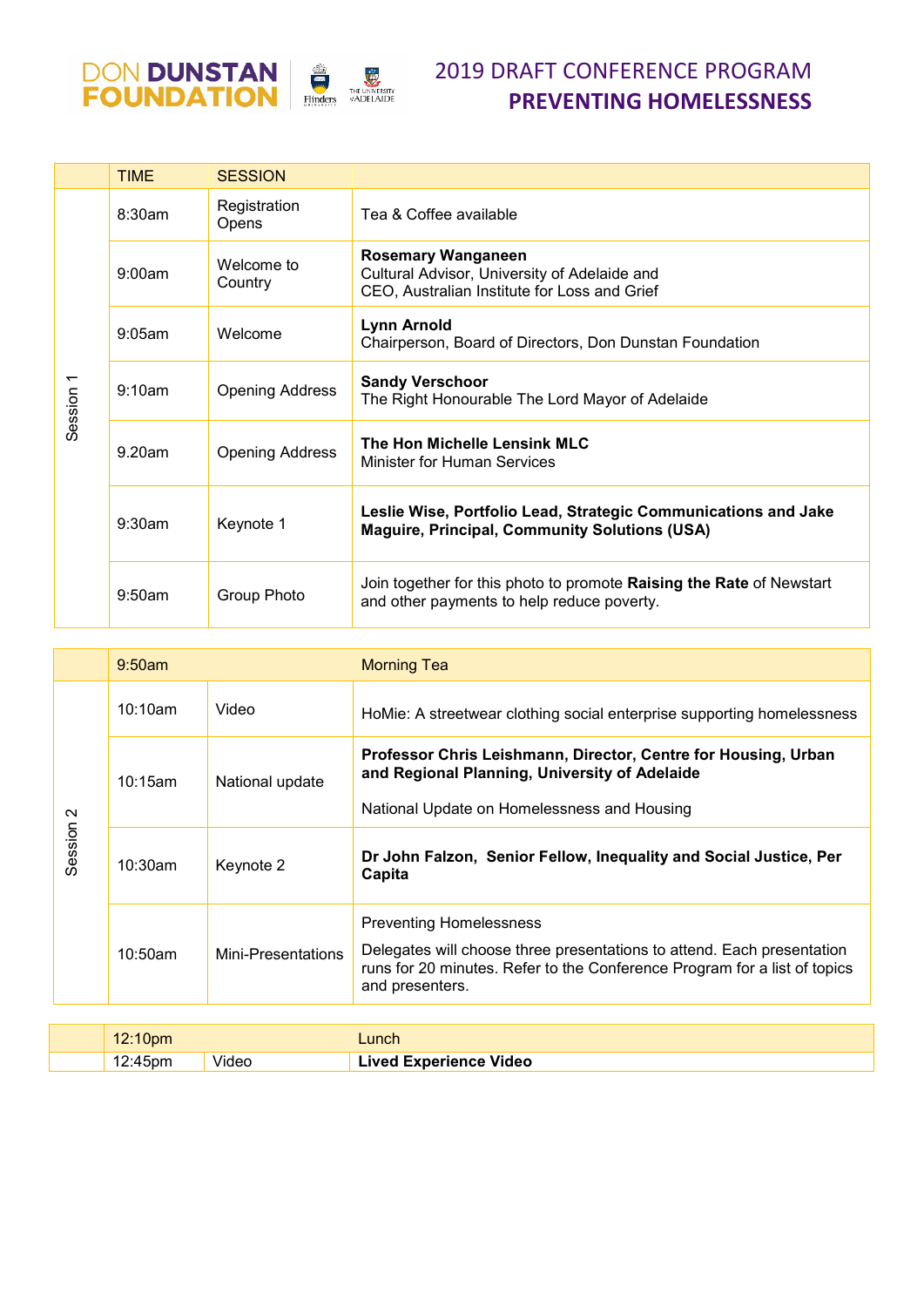



|           | <b>TIME</b> | <b>SESSION</b>         |                                                                                                                           |
|-----------|-------------|------------------------|---------------------------------------------------------------------------------------------------------------------------|
| Session 1 | 8:30am      | Registration<br>Opens  | Tea & Coffee available                                                                                                    |
|           | 9:00am      | Welcome to<br>Country  | <b>Rosemary Wanganeen</b><br>Cultural Advisor, University of Adelaide and<br>CEO, Australian Institute for Loss and Grief |
|           | $9:05$ am   | Welcome                | <b>Lynn Arnold</b><br>Chairperson, Board of Directors, Don Dunstan Foundation                                             |
|           | 9:10am      | <b>Opening Address</b> | <b>Sandy Verschoor</b><br>The Right Honourable The Lord Mayor of Adelaide                                                 |
|           | 9.20am      | <b>Opening Address</b> | The Hon Michelle Lensink MLC<br>Minister for Human Services                                                               |
|           | 9:30am      | Keynote 1              | Leslie Wise, Portfolio Lead, Strategic Communications and Jake<br><b>Maguire, Principal, Community Solutions (USA)</b>    |
|           | 9:50am      | Group Photo            | Join together for this photo to promote Raising the Rate of Newstart<br>and other payments to help reduce poverty.        |

|                      | $9:50$ am  |                    | <b>Morning Tea</b>                                                                                                                                                                                       |
|----------------------|------------|--------------------|----------------------------------------------------------------------------------------------------------------------------------------------------------------------------------------------------------|
| Session <sub>2</sub> | 10:10am    | Video              | HoMie: A streetwear clothing social enterprise supporting homelessness                                                                                                                                   |
|                      | 10:15am    | National update    | Professor Chris Leishmann, Director, Centre for Housing, Urban<br>and Regional Planning, University of Adelaide<br>National Update on Homelessness and Housing                                           |
|                      | $10:30$ am | Keynote 2          | Dr John Falzon, Senior Fellow, Inequality and Social Justice, Per<br>Capita                                                                                                                              |
|                      | $10:50$ am | Mini-Presentations | <b>Preventing Homelessness</b><br>Delegates will choose three presentations to attend. Each presentation<br>runs for 20 minutes. Refer to the Conference Program for a list of topics<br>and presenters. |

| 10.10<br>10pm. |       | .unch                         |
|----------------|-------|-------------------------------|
| 12:45pm        | Videc | <b>Lived Experience Video</b> |